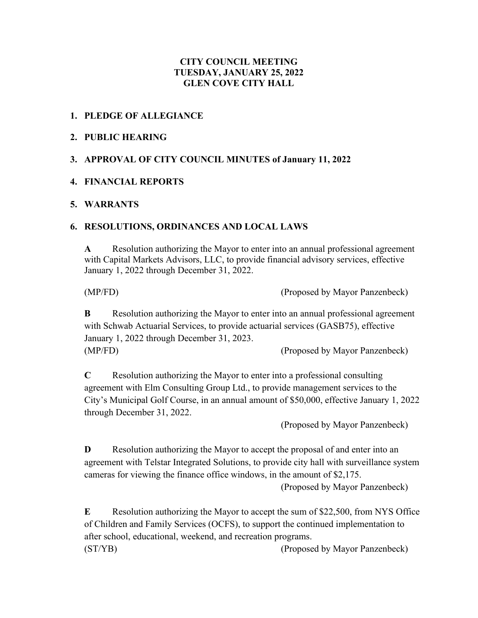## **CITY COUNCIL MEETING TUESDAY, JANUARY 25, 2022 GLEN COVE CITY HALL**

#### **1. PLEDGE OF ALLEGIANCE**

#### **2. PUBLIC HEARING**

## **3. APPROVAL OF CITY COUNCIL MINUTES of January 11, 2022**

## **4. FINANCIAL REPORTS**

#### **5. WARRANTS**

#### **6. RESOLUTIONS, ORDINANCES AND LOCAL LAWS**

**A** Resolution authorizing the Mayor to enter into an annual professional agreement with Capital Markets Advisors, LLC, to provide financial advisory services, effective January 1, 2022 through December 31, 2022.

(MP/FD) (Proposed by Mayor Panzenbeck)

**B** Resolution authorizing the Mayor to enter into an annual professional agreement with Schwab Actuarial Services, to provide actuarial services (GASB75), effective January 1, 2022 through December 31, 2023. (MP/FD) (Proposed by Mayor Panzenbeck)

**C** Resolution authorizing the Mayor to enter into a professional consulting agreement with Elm Consulting Group Ltd., to provide management services to the City's Municipal Golf Course, in an annual amount of \$50,000, effective January 1, 2022 through December 31, 2022.

(Proposed by Mayor Panzenbeck)

**D** Resolution authorizing the Mayor to accept the proposal of and enter into an agreement with Telstar Integrated Solutions, to provide city hall with surveillance system cameras for viewing the finance office windows, in the amount of \$2,175.

(Proposed by Mayor Panzenbeck)

**E** Resolution authorizing the Mayor to accept the sum of \$22,500, from NYS Office of Children and Family Services (OCFS), to support the continued implementation to after school, educational, weekend, and recreation programs. (ST/YB) (Proposed by Mayor Panzenbeck)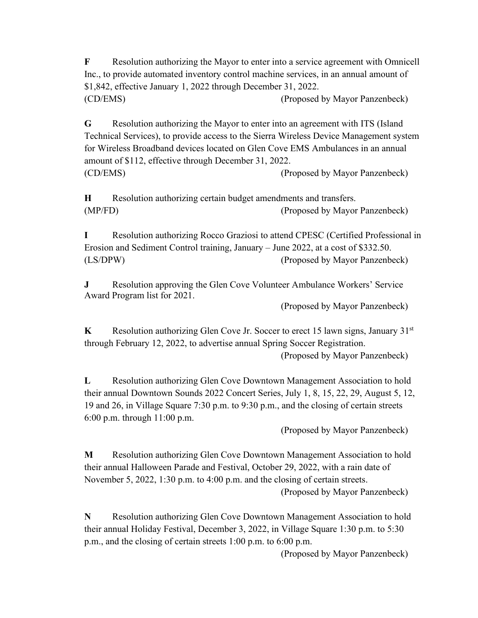**F** Resolution authorizing the Mayor to enter into a service agreement with Omnicell Inc., to provide automated inventory control machine services, in an annual amount of \$1,842, effective January 1, 2022 through December 31, 2022. (CD/EMS) (Proposed by Mayor Panzenbeck)

**G** Resolution authorizing the Mayor to enter into an agreement with ITS (Island Technical Services), to provide access to the Sierra Wireless Device Management system for Wireless Broadband devices located on Glen Cove EMS Ambulances in an annual amount of \$112, effective through December 31, 2022. (CD/EMS) (Proposed by Mayor Panzenbeck)

**H** Resolution authorizing certain budget amendments and transfers. (MP/FD) (Proposed by Mayor Panzenbeck)

**I** Resolution authorizing Rocco Graziosi to attend CPESC (Certified Professional in Erosion and Sediment Control training, January – June 2022, at a cost of \$332.50. (LS/DPW) (Proposed by Mayor Panzenbeck)

**J** Resolution approving the Glen Cove Volunteer Ambulance Workers' Service Award Program list for 2021.

(Proposed by Mayor Panzenbeck)

**K** Resolution authorizing Glen Cove Jr. Soccer to erect 15 lawn signs, January 31<sup>st</sup> through February 12, 2022, to advertise annual Spring Soccer Registration.

(Proposed by Mayor Panzenbeck)

**L** Resolution authorizing Glen Cove Downtown Management Association to hold their annual Downtown Sounds 2022 Concert Series, July 1, 8, 15, 22, 29, August 5, 12, 19 and 26, in Village Square 7:30 p.m. to 9:30 p.m., and the closing of certain streets 6:00 p.m. through 11:00 p.m.

(Proposed by Mayor Panzenbeck)

**M** Resolution authorizing Glen Cove Downtown Management Association to hold their annual Halloween Parade and Festival, October 29, 2022, with a rain date of November 5, 2022, 1:30 p.m. to 4:00 p.m. and the closing of certain streets. (Proposed by Mayor Panzenbeck)

**N** Resolution authorizing Glen Cove Downtown Management Association to hold their annual Holiday Festival, December 3, 2022, in Village Square 1:30 p.m. to 5:30 p.m., and the closing of certain streets 1:00 p.m. to 6:00 p.m.

(Proposed by Mayor Panzenbeck)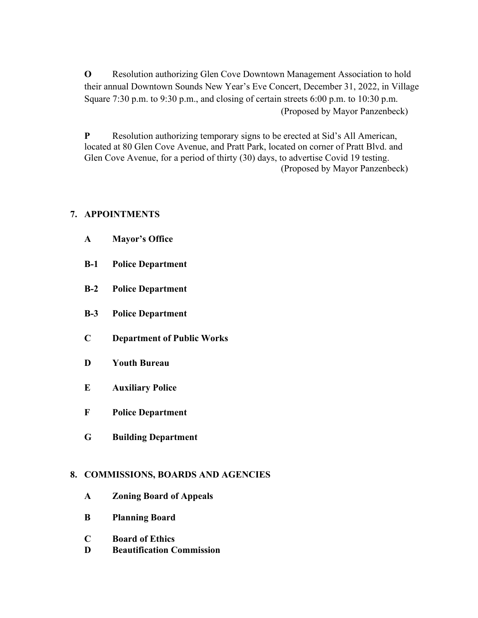**O** Resolution authorizing Glen Cove Downtown Management Association to hold their annual Downtown Sounds New Year's Eve Concert, December 31, 2022, in Village Square 7:30 p.m. to 9:30 p.m., and closing of certain streets 6:00 p.m. to 10:30 p.m. (Proposed by Mayor Panzenbeck)

**P** Resolution authorizing temporary signs to be erected at Sid's All American, located at 80 Glen Cove Avenue, and Pratt Park, located on corner of Pratt Blvd. and Glen Cove Avenue, for a period of thirty (30) days, to advertise Covid 19 testing. (Proposed by Mayor Panzenbeck)

# **7. APPOINTMENTS**

- **A Mayor's Office**
- **B-1 Police Department**
- **B-2 Police Department**
- **B-3 Police Department**
- **C Department of Public Works**
- **D Youth Bureau**
- **E Auxiliary Police**
- **F Police Department**
- **G Building Department**

## **8. COMMISSIONS, BOARDS AND AGENCIES**

- **A Zoning Board of Appeals**
- **B Planning Board**
- **C Board of Ethics**
- **D Beautification Commission**